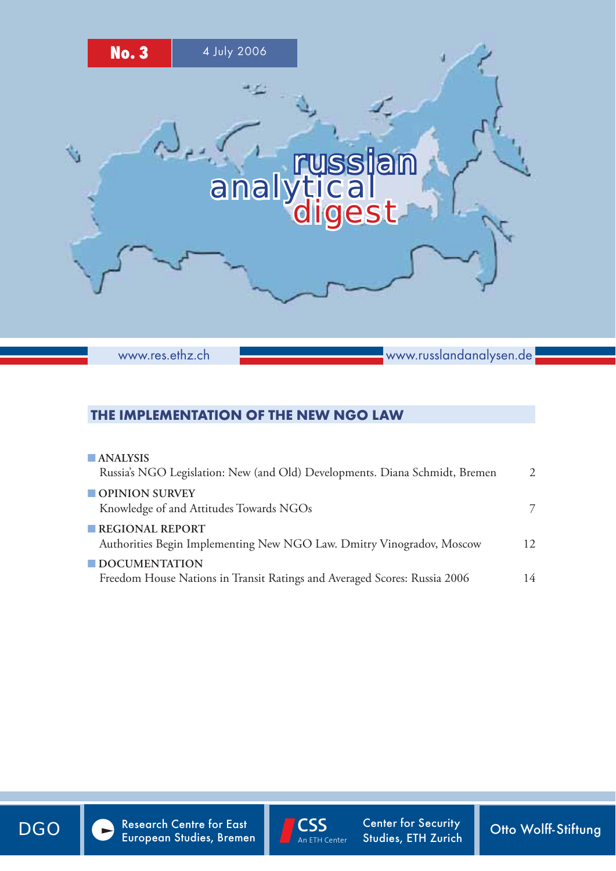

www.res.ethz.ch

www.russlandanalysen.de

# THE IMPLEMENTATION OF THE NEW NGO LAW

| <b>ANALYSIS</b><br>Russia's NGO Legislation: New (and Old) Developments. Diana Schmidt, Bremen    | $\mathcal{D}_{\mathcal{L}}$ |
|---------------------------------------------------------------------------------------------------|-----------------------------|
| <b>COPINION SURVEY</b><br>Knowledge of and Attitudes Towards NGOs                                 |                             |
| REGIONAL REPORT<br>Authorities Begin Implementing New NGO Law. Dmitry Vinogradov, Moscow          | 12.                         |
| <b>DOCUMENTATION</b><br>Freedom House Nations in Transit Ratings and Averaged Scores: Russia 2006 | 14                          |



DGO Besearch Centre for East CSS Center for Security Otto Wolff-Stiftung European Studies, Bremen Bunderster Curios, ETH Zurich



Center for Security Studies, ETH Zurich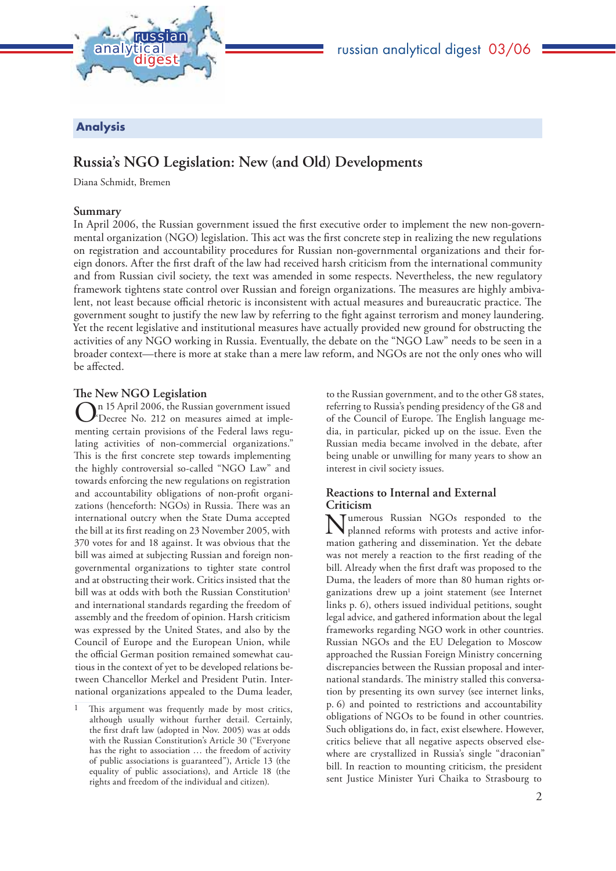

# Analysis

# **Russia's NGO Legislation: New (and Old) Developments**

Diana Schmidt, Bremen

## **Summary**

In April 2006, the Russian government issued the first executive order to implement the new non-governmental organization (NGO) legislation. This act was the first concrete step in realizing the new regulations on registration and accountability procedures for Russian non-governmental organizations and their foreign donors. After the first draft of the law had received harsh criticism from the international community and from Russian civil society, the text was amended in some respects. Nevertheless, the new regulatory framework tightens state control over Russian and foreign organizations. The measures are highly ambivalent, not least because official rhetoric is inconsistent with actual measures and bureaucratic practice. The government sought to justify the new law by referring to the fight against terrorism and money laundering. Yet the recent legislative and institutional measures have actually provided new ground for obstructing the activities of any NGO working in Russia. Eventually, the debate on the "NGO Law" needs to be seen in a broader context—there is more at stake than a mere law reform, and NGOs are not the only ones who will be affected.

## The New NGO Legislation

On 15 April 2006, the Russian government issued "Decree No. 212 on measures aimed at implementing certain provisions of the Federal laws regulating activities of non-commercial organizations." This is the first concrete step towards implementing the highly controversial so-called "NGO Law" and towards enforcing the new regulations on registration and accountability obligations of non-profit organizations (henceforth: NGOs) in Russia. There was an international outcry when the State Duma accepted the bill at its first reading on 23 November 2005, with 370 votes for and 18 against. It was obvious that the bill was aimed at subjecting Russian and foreign nongovernmental organizations to tighter state control and at obstructing their work. Critics insisted that the bill was at odds with both the Russian Constitution<sup>1</sup> and international standards regarding the freedom of assembly and the freedom of opinion. Harsh criticism was expressed by the United States, and also by the Council of Europe and the European Union, while the official German position remained somewhat cautious in the context of yet to be developed relations between Chancellor Merkel and President Putin. International organizations appealed to the Duma leader,

to the Russian government, and to the other G8 states, referring to Russia's pending presidency of the G8 and of the Council of Europe. The English language media, in particular, picked up on the issue. Even the Russian media became involved in the debate, after being unable or unwilling for many years to show an interest in civil society issues.

### **Reactions to Internal and External Criticism**

Tumerous Russian NGOs responded to the planned reforms with protests and active information gathering and dissemination. Yet the debate was not merely a reaction to the first reading of the bill. Already when the first draft was proposed to the Duma, the leaders of more than 80 human rights organizations drew up a joint statement (see Internet links p. 6), others issued individual petitions, sought legal advice, and gathered information about the legal frameworks regarding NGO work in other countries. Russian NGOs and the EU Delegation to Moscow approached the Russian Foreign Ministry concerning discrepancies between the Russian proposal and international standards. The ministry stalled this conversation by presenting its own survey (see internet links, p. 6) and pointed to restrictions and accountability obligations of NGOs to be found in other countries. Such obligations do, in fact, exist elsewhere. However, critics believe that all negative aspects observed elsewhere are crystallized in Russia's single "draconian" bill. In reaction to mounting criticism, the president sent Justice Minister Yuri Chaika to Strasbourg to

This argument was frequently made by most critics, although usually without further detail. Certainly, the first draft law (adopted in Nov. 2005) was at odds with the Russian Constitution's Article 30 ("Everyone has the right to association … the freedom of activity of public associations is guaranteed"), Article 13 (the equality of public associations), and Article 18 (the rights and freedom of the individual and citizen).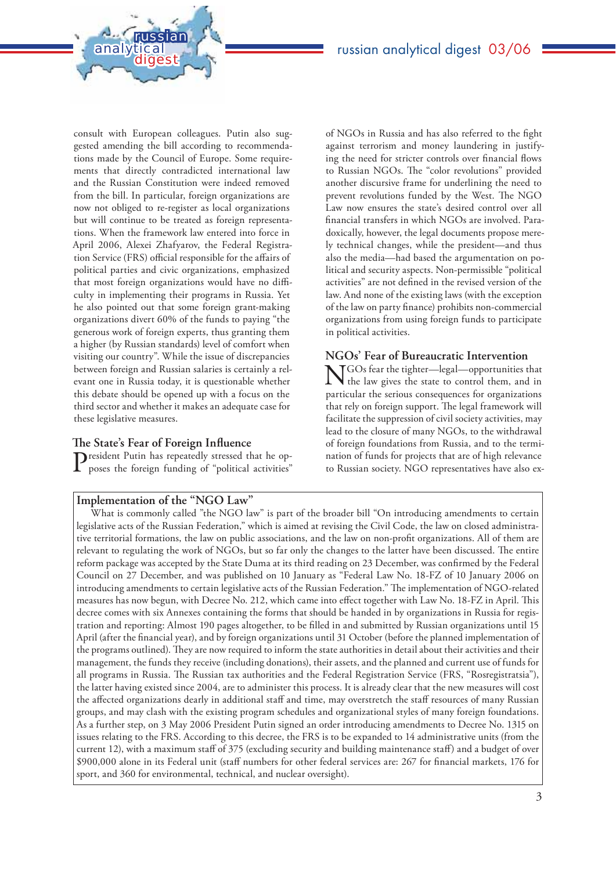consult with European colleagues. Putin also suggested amending the bill according to recommendations made by the Council of Europe. Some requirements that directly contradicted international law and the Russian Constitution were indeed removed from the bill. In particular, foreign organizations are now not obliged to re-register as local organizations but will continue to be treated as foreign representations. When the framework law entered into force in April 2006, Alexei Zhafyarov, the Federal Registration Service (FRS) official responsible for the affairs of political parties and civic organizations, emphasized that most foreign organizations would have no difficulty in implementing their programs in Russia. Yet he also pointed out that some foreign grant-making organizations divert 60% of the funds to paying "the generous work of foreign experts, thus granting them a higher (by Russian standards) level of comfort when visiting our country". While the issue of discrepancies between foreign and Russian salaries is certainly a relevant one in Russia today, it is questionable whether this debate should be opened up with a focus on the third sector and whether it makes an adequate case for these legislative measures.

analytical<br>digest

russian

## **The State's Fear of Foreign Influence**

President Putin has repeatedly stressed that he opposes the foreign funding of "political activities" poses the foreign funding of "political activities"

**Implementation of the "NGO Law"** 

of NGOs in Russia and has also referred to the fight against terrorism and money laundering in justifying the need for stricter controls over financial flows to Russian NGOs. The "color revolutions" provided another discursive frame for underlining the need to prevent revolutions funded by the West. The NGO Law now ensures the state's desired control over all financial transfers in which NGOs are involved. Paradoxically, however, the legal documents propose merely technical changes, while the president—and thus also the media—had based the argumentation on political and security aspects. Non-permissible "political activities" are not defined in the revised version of the law. And none of the existing laws (with the exception of the law on party finance) prohibits non-commercial organizations from using foreign funds to participate in political activities.

### **NGOs' Fear of Bureaucratic Intervention**

NGOs fear the tighter—legal—opportunities that the law gives the state to control them, and in particular the serious consequences for organizations that rely on foreign support. The legal framework will facilitate the suppression of civil society activities, may lead to the closure of many NGOs, to the withdrawal of foreign foundations from Russia, and to the termination of funds for projects that are of high relevance to Russian society. NGO representatives have also ex-

What is commonly called "the NGO law" is part of the broader bill "On introducing amendments to certain legislative acts of the Russian Federation," which is aimed at revising the Civil Code, the law on closed administrative territorial formations, the law on public associations, and the law on non-profit organizations. All of them are relevant to regulating the work of NGOs, but so far only the changes to the latter have been discussed. The entire reform package was accepted by the State Duma at its third reading on 23 December, was confirmed by the Federal Council on 27 December, and was published on 10 January as "Federal Law No. 18-FZ of 10 January 2006 on introducing amendments to certain legislative acts of the Russian Federation." The implementation of NGO-related measures has now begun, with Decree No. 212, which came into effect together with Law No. 18-FZ in April. This decree comes with six Annexes containing the forms that should be handed in by organizations in Russia for registration and reporting: Almost 190 pages altogether, to be filled in and submitted by Russian organizations until 15 April (after the financial year), and by foreign organizations until 31 October (before the planned implementation of the programs outlined). They are now required to inform the state authorities in detail about their activities and their management, the funds they receive (including donations), their assets, and the planned and current use of funds for all programs in Russia. The Russian tax authorities and the Federal Registration Service (FRS, "Rosregistratsia"), the latter having existed since 2004, are to administer this process. It is already clear that the new measures will cost the affected organizations dearly in additional staff and time, may overstretch the staff resources of many Russian groups, and may clash with the existing program schedules and organizational styles of many foreign foundations. As a further step, on 3 May 2006 President Putin signed an order introducing amendments to Decree No. 1315 on issues relating to the FRS. According to this decree, the FRS is to be expanded to 14 administrative units (from the current 12), with a maximum staff of 375 (excluding security and building maintenance staff ) and a budget of over \$900,000 alone in its Federal unit (staff numbers for other federal services are: 267 for financial markets, 176 for sport, and 360 for environmental, technical, and nuclear oversight).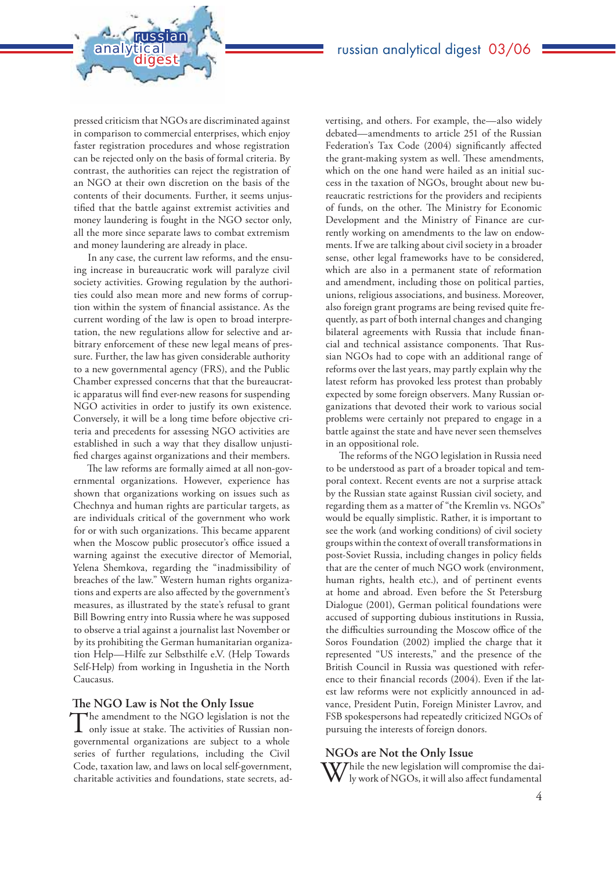pressed criticism that NGOs are discriminated against in comparison to commercial enterprises, which enjoy faster registration procedures and whose registration can be rejected only on the basis of formal criteria. By contrast, the authorities can reject the registration of an NGO at their own discretion on the basis of the contents of their documents. Further, it seems unjustified that the battle against extremist activities and money laundering is fought in the NGO sector only, all the more since separate laws to combat extremism and money laundering are already in place.

analytical<br>digest

russian

In any case, the current law reforms, and the ensuing increase in bureaucratic work will paralyze civil society activities. Growing regulation by the authorities could also mean more and new forms of corruption within the system of financial assistance. As the current wording of the law is open to broad interpretation, the new regulations allow for selective and arbitrary enforcement of these new legal means of pressure. Further, the law has given considerable authority to a new governmental agency (FRS), and the Public Chamber expressed concerns that that the bureaucratic apparatus will find ever-new reasons for suspending NGO activities in order to justify its own existence. Conversely, it will be a long time before objective criteria and precedents for assessing NGO activities are established in such a way that they disallow unjustified charges against organizations and their members.

The law reforms are formally aimed at all non-governmental organizations. However, experience has shown that organizations working on issues such as Chechnya and human rights are particular targets, as are individuals critical of the government who work for or with such organizations. This became apparent when the Moscow public prosecutor's office issued a warning against the executive director of Memorial, Yelena Shemkova, regarding the "inadmissibility of breaches of the law." Western human rights organizations and experts are also affected by the government's measures, as illustrated by the state's refusal to grant Bill Bowring entry into Russia where he was supposed to observe a trial against a journalist last November or by its prohibiting the German humanitarian organization Help—Hilfe zur Selbsthilfe e.V. (Help Towards Self-Help) from working in Ingushetia in the North Caucasus.

### The NGO Law is Not the Only Issue

The amendment to the NGO legislation is not the only issue at stake. The activities of Russian nongovernmental organizations are subject to a whole series of further regulations, including the Civil Code, taxation law, and laws on local self-government, charitable activities and foundations, state secrets, advertising, and others. For example, the—also widely debated—amendments to article 251 of the Russian Federation's Tax Code (2004) significantly affected the grant-making system as well. These amendments, which on the one hand were hailed as an initial success in the taxation of NGOs, brought about new bureaucratic restrictions for the providers and recipients of funds, on the other. The Ministry for Economic Development and the Ministry of Finance are currently working on amendments to the law on endowments. If we are talking about civil society in a broader sense, other legal frameworks have to be considered, which are also in a permanent state of reformation and amendment, including those on political parties, unions, religious associations, and business. Moreover, also foreign grant programs are being revised quite frequently, as part of both internal changes and changing bilateral agreements with Russia that include financial and technical assistance components. That Russian NGOs had to cope with an additional range of reforms over the last years, may partly explain why the latest reform has provoked less protest than probably expected by some foreign observers. Many Russian organizations that devoted their work to various social problems were certainly not prepared to engage in a battle against the state and have never seen themselves in an oppositional role.

The reforms of the NGO legislation in Russia need to be understood as part of a broader topical and temporal context. Recent events are not a surprise attack by the Russian state against Russian civil society, and regarding them as a matter of "the Kremlin vs. NGOs" would be equally simplistic. Rather, it is important to see the work (and working conditions) of civil society groups within the context of overall transformations in post-Soviet Russia, including changes in policy fields that are the center of much NGO work (environment, human rights, health etc.), and of pertinent events at home and abroad. Even before the St Petersburg Dialogue (2001), German political foundations were accused of supporting dubious institutions in Russia, the difficulties surrounding the Moscow office of the Soros Foundation (2002) implied the charge that it represented "US interests," and the presence of the British Council in Russia was questioned with reference to their financial records (2004). Even if the latest law reforms were not explicitly announced in advance, President Putin, Foreign Minister Lavrov, and FSB spokespersons had repeatedly criticized NGOs of pursuing the interests of foreign donors.

### **NGOs are Not the Only Issue**

 $\nabla$ Thile the new legislation will compromise the daily work of NGOs, it will also affect fundamental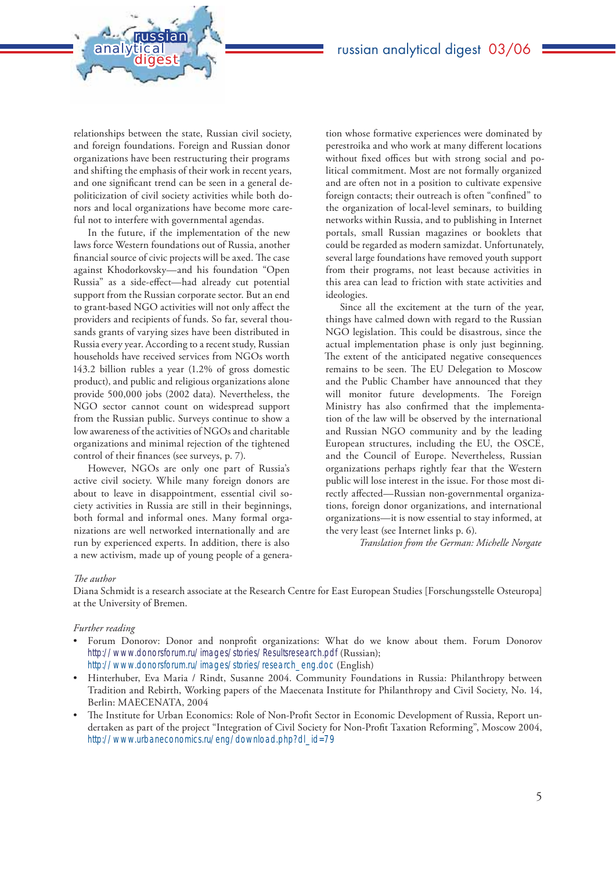relationships between the state, Russian civil society, and foreign foundations. Foreign and Russian donor organizations have been restructuring their programs and shifting the emphasis of their work in recent years, and one significant trend can be seen in a general depoliticization of civil society activities while both donors and local organizations have become more careful not to interfere with governmental agendas.

analytical<br>digest

russian

In the future, if the implementation of the new laws force Western foundations out of Russia, another financial source of civic projects will be axed. The case against Khodorkovsky—and his foundation "Open Russia" as a side-effect—had already cut potential support from the Russian corporate sector. But an end to grant-based NGO activities will not only affect the providers and recipients of funds. So far, several thousands grants of varying sizes have been distributed in Russia every year. According to a recent study, Russian households have received services from NGOs worth 143.2 billion rubles a year (1.2% of gross domestic product), and public and religious organizations alone provide 500,000 jobs (2002 data). Nevertheless, the NGO sector cannot count on widespread support from the Russian public. Surveys continue to show a low awareness of the activities of NGOs and charitable organizations and minimal rejection of the tightened control of their finances (see surveys, p. 7).

However, NGOs are only one part of Russia's active civil society. While many foreign donors are about to leave in disappointment, essential civil society activities in Russia are still in their beginnings, both formal and informal ones. Many formal organizations are well networked internationally and are run by experienced experts. In addition, there is also a new activism, made up of young people of a genera-

tion whose formative experiences were dominated by perestroika and who work at many different locations without fixed offices but with strong social and political commitment. Most are not formally organized and are often not in a position to cultivate expensive foreign contacts; their outreach is often "confined" to the organization of local-level seminars, to building networks within Russia, and to publishing in Internet portals, small Russian magazines or booklets that could be regarded as modern samizdat. Unfortunately, several large foundations have removed youth support from their programs, not least because activities in this area can lead to friction with state activities and ideologies.

Since all the excitement at the turn of the year, things have calmed down with regard to the Russian NGO legislation. This could be disastrous, since the actual implementation phase is only just beginning. The extent of the anticipated negative consequences remains to be seen. The EU Delegation to Moscow and the Public Chamber have announced that they will monitor future developments. The Foreign Ministry has also confirmed that the implementation of the law will be observed by the international and Russian NGO community and by the leading European structures, including the EU, the OSCE, and the Council of Europe. Nevertheless, Russian organizations perhaps rightly fear that the Western public will lose interest in the issue. For those most directly affected—Russian non-governmental organizations, foreign donor organizations, and international organizations—it is now essential to stay informed, at the very least (see Internet links p. 6).

*Translation from the German: Michelle Norgate*

#### *The author*

Diana Schmidt is a research associate at the Research Centre for East European Studies [Forschungsstelle Osteuropa] at the University of Bremen.

#### *Further reading*

- Forum Donorov: Donor and nonprofit organizations: What do we know about them. Forum Donorov http://www.donorsforum.ru/images/stories/Resultsresearch.pdf (Russian); http://www.donorsforum.ru/images/stories/research\_eng.doc (English)
- Hinterhuber, Eva Maria / Rindt, Susanne 2004. Community Foundations in Russia: Philanthropy between Tradition and Rebirth, Working papers of the Maecenata Institute for Philanthropy and Civil Society, No. 14, Berlin: MAECENATA, 2004
- The Institute for Urban Economics: Role of Non-Profit Sector in Economic Development of Russia, Report undertaken as part of the project "Integration of Civil Society for Non-Profit Taxation Reforming", Moscow 2004, http://www.urbaneconomics.ru/eng/download.php?dl\_id=79 •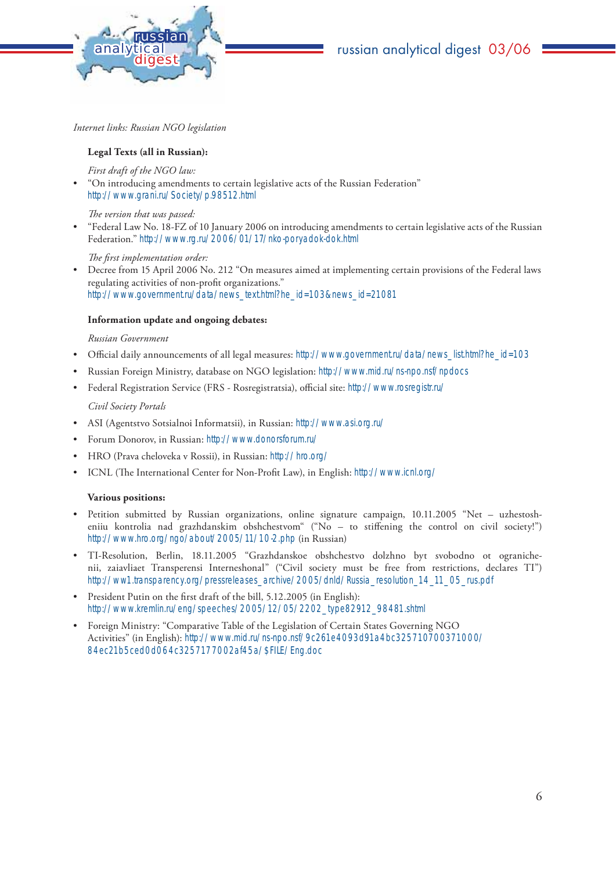

# russian analytical digest 03/06

*Internet links: Russian NGO legislation*

### **Legal Texts (all in Russian):**

### *First draft of the NGO law:*

"On introducing amendments to certain legislative acts of the Russian Federation" http://www.grani.ru/Society/p.98512.html •

### The version that was passed:

"Federal Law No. 18-FZ of 10 January 2006 on introducing amendments to certain legislative acts of the Russian Federation." http://www.rg.ru/2006/01/17/nko-poryadok-dok.html •

### *The first implementation order:*

Decree from 15 April 2006 No. 212 "On measures aimed at implementing certain provisions of the Federal laws regulating activities of non-profit organizations." http://www.government.ru/data/news\_text.html?he\_id=103&news\_id=21081 •

### **Information update and ongoing debates:**

#### *Russian Government*

- Official daily announcements of all legal measures: http://www.government.ru/data/news\_list.html?he\_id=103
- Russian Foreign Ministry, database on NGO legislation: http://www.mid.ru/ns-npo.nsf/npdocs •
- Federal Registration Service (FRS Rosregistratsia), official site: http://www.rosregistr.ru/ •

### *Civil Society Portals*

- ASI (Agentstvo Sotsialnoi Informatsii), in Russian: http://www.asi.org.ru/
- Forum Donorov, in Russian: http://www.donorsforum.ru/ •
- HRO (Prava cheloveka v Rossii), in Russian: http://hro.org/ •
- ICNL (The International Center for Non-Profit Law), in English: http://www.icnl.org/ •

#### **Various positions:**

- Petition submitted by Russian organizations, online signature campaign, 10.11.2005 "Net uzhestosh-• eniiu kontrolia nad grazhdanskim obshchestvom" ("No - to stiffening the control on civil society!") http://www.hro.org/ngo/about/2005/11/10-2.php (in Russian)
- TI-Resolution, Berlin, 18.11.2005 "Grazhdanskoe obshchestvo dolzhno byt svobodno ot ogranichenii, zaiavliaet Transperensi Interneshonal" ("Civil society must be free from restrictions, declares TI") http://ww1.transparency.org/pressreleases\_archive/2005/dnld/Russia\_resolution\_14\_11\_05\_rus.pdf •
- President Putin on the first draft of the bill, 5.12.2005 (in English): http://www.kremlin.ru/eng/speeches/2005/12/05/2202\_type82912\_98481.shtml
- Foreign Ministry: "Comparative Table of the Legislation of Certain States Governing NGO Activities" (in English): http://www.mid.ru/ns-npo.nsf/9c261e4093d91a4bc325710700371000/ 84ec21b5ced0d064c3257177002af45a/\$FILE/Eng.doc •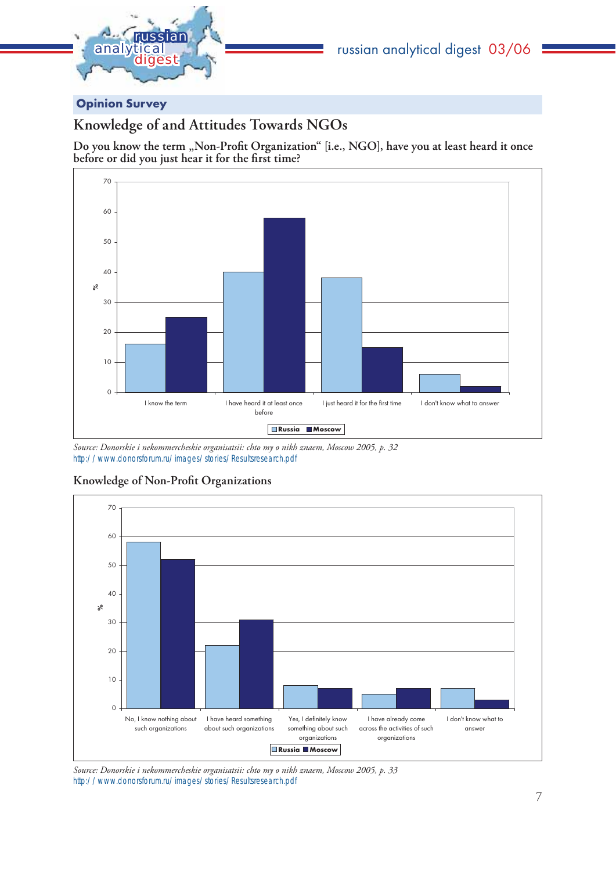

# Opinion Survey

# **Knowledge of and Attitudes Towards NGOs**

Do you know the term "Non-Profit Organization" [i.e., NGO], have you at least heard it once before or did you just hear it for the first time?



*Source: Donorskie i nekommercheskie organisatsii: chto my o nikh znaem, Moscow 2005, p. 32*  http://www.donorsforum.ru/images/stories/Resultsresearch.pdf



## **Knowledge of Non-Profit Organizations**

*Source: Donorskie i nekommercheskie organisatsii: chto my o nikh znaem, Moscow 2005, p. 33*  http://www.donorsforum.ru/images/stories/Resultsresearch.pdf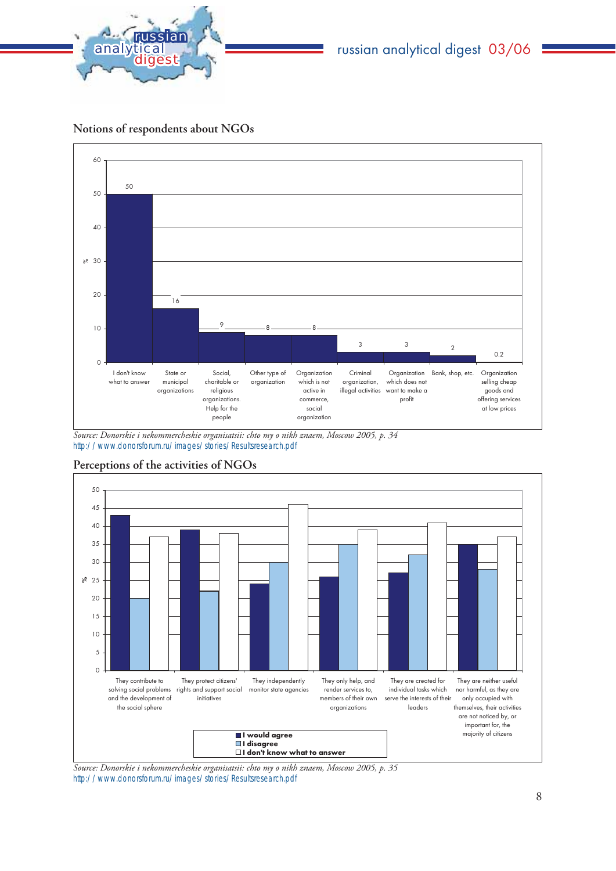

# russian analytical digest 03/06

**Notions of respondents about NGOs**



*Source: Donorskie i nekommercheskie organisatsii: chto my o nikh znaem, Moscow 2005, p. 34*  http://www.donorsforum.ru/images/stories/Resultsresearch.pdf



# **Perceptions of the activities of NGOs**

*Source: Donorskie i nekommercheskie organisatsii: chto my o nikh znaem, Moscow 2005, p. 35* http://www.donorsforum.ru/images/stories/Resultsresearch.pdf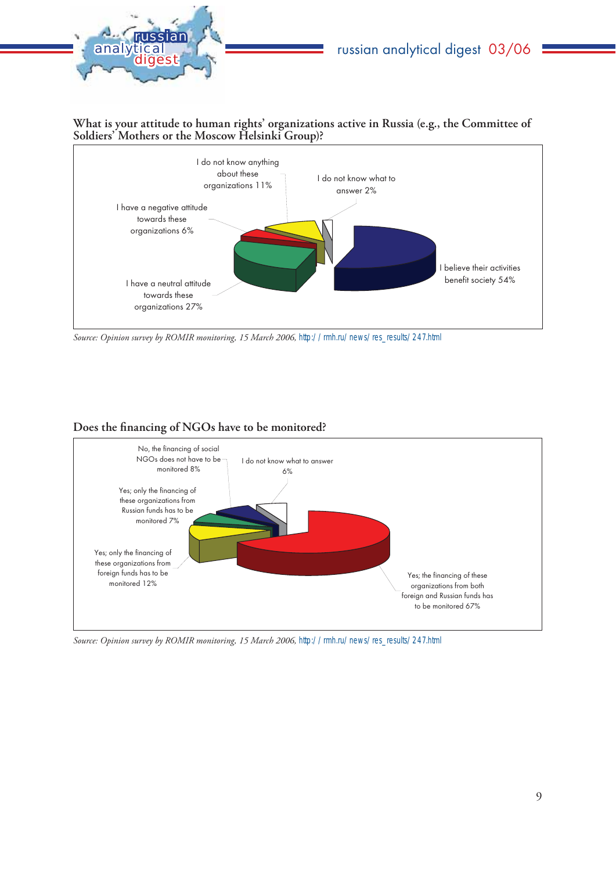

**What is your attitude to human rights' organizations active in Russia (e.g., the Committee of Soldiers' Mothers or the Moscow Helsinki Group)?**



Source: Opinion survey by ROMIR monitoring, 15 March 2006, http://mh.ru/news/res\_results/247.html

## Does the financing of NGOs have to be monitored?



Source: Opinion survey by ROMIR monitoring, 15 March 2006, http://rmh.ru/news/res\_results/247.html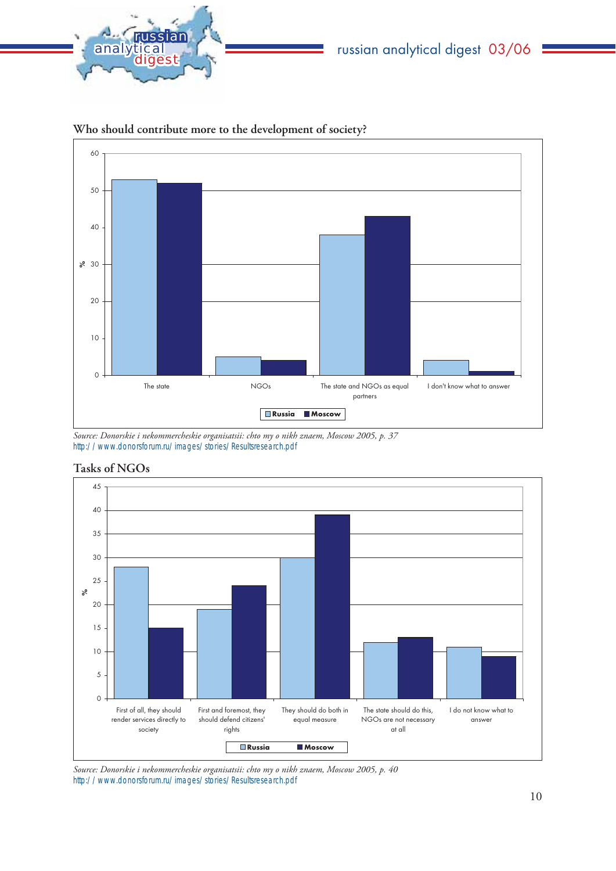



## **Who should contribute more to the development of society?**

*Source: Donorskie i nekommercheskie organisatsii: chto my o nikh znaem, Moscow 2005, p. 37* http://www.donorsforum.ru/images/stories/Resultsresearch.pdf



## **Tasks of NGOs**

*Source: Donorskie i nekommercheskie organisatsii: chto my o nikh znaem, Moscow 2005, p. 40* http://www.donorsforum.ru/images/stories/Resultsresearch.pdf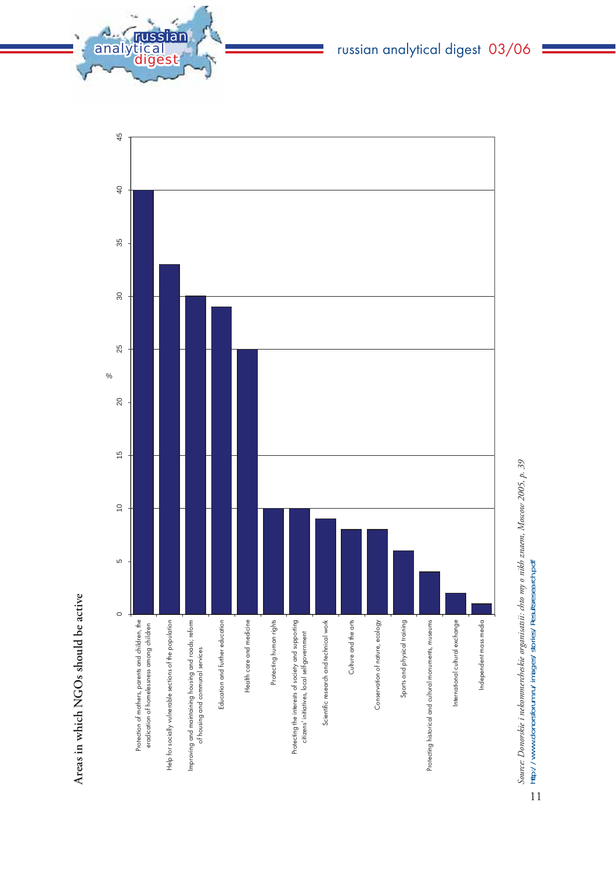

**Areas in which NGOs should be active**

Areas in which NGOs should be active

# russian analytical digest 03/06



Source: Donorskie i nekommercheskie organisatsii: chto my o nikh znaem, Moscow 2005, p. 39 *Source: Donorskie i nekommercheskie organisatsii: chto my o nikh znaem, Moscow 2005, p. 39* http://www.donorsforum.ru/images/stories/Resultsresearch.pdf http://www.donorsforum.ru/images/stories/Resultsresearch.pdf

11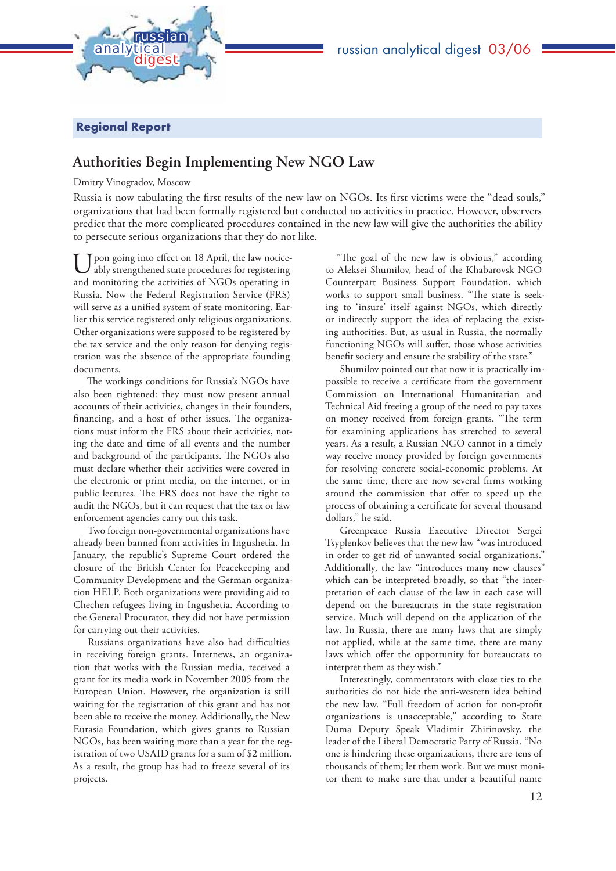



## Regional Report

# **Authorities Begin Implementing New NGO Law**

Dmitry Vinogradov, Moscow

Russia is now tabulating the first results of the new law on NGOs. Its first victims were the "dead souls," organizations that had been formally registered but conducted no activities in practice. However, observers predict that the more complicated procedures contained in the new law will give the authorities the ability to persecute serious organizations that they do not like.

pon going into effect on 18 April, the law noticeably strengthened state procedures for registering and monitoring the activities of NGOs operating in Russia. Now the Federal Registration Service (FRS) will serve as a unified system of state monitoring. Earlier this service registered only religious organizations. Other organizations were supposed to be registered by the tax service and the only reason for denying registration was the absence of the appropriate founding documents.

The workings conditions for Russia's NGOs have also been tightened: they must now present annual accounts of their activities, changes in their founders, financing, and a host of other issues. The organizations must inform the FRS about their activities, noting the date and time of all events and the number and background of the participants. The NGOs also must declare whether their activities were covered in the electronic or print media, on the internet, or in public lectures. The FRS does not have the right to audit the NGOs, but it can request that the tax or law enforcement agencies carry out this task.

Two foreign non-governmental organizations have already been banned from activities in Ingushetia. In January, the republic's Supreme Court ordered the closure of the British Center for Peacekeeping and Community Development and the German organization HELP. Both organizations were providing aid to Chechen refugees living in Ingushetia. According to the General Procurator, they did not have permission for carrying out their activities.

Russians organizations have also had difficulties in receiving foreign grants. Internews, an organization that works with the Russian media, received a grant for its media work in November 2005 from the European Union. However, the organization is still waiting for the registration of this grant and has not been able to receive the money. Additionally, the New Eurasia Foundation, which gives grants to Russian NGOs, has been waiting more than a year for the registration of two USAID grants for a sum of \$2 million. As a result, the group has had to freeze several of its projects.

"The goal of the new law is obvious," according to Aleksei Shumilov, head of the Khabarovsk NGO Counterpart Business Support Foundation, which works to support small business. "The state is seeking to 'insure' itself against NGOs, which directly or indirectly support the idea of replacing the existing authorities. But, as usual in Russia, the normally functioning NGOs will suffer, those whose activities benefit society and ensure the stability of the state."

Shumilov pointed out that now it is practically impossible to receive a certificate from the government Commission on International Humanitarian and Technical Aid freeing a group of the need to pay taxes on money received from foreign grants. "The term for examining applications has stretched to several years. As a result, a Russian NGO cannot in a timely way receive money provided by foreign governments for resolving concrete social-economic problems. At the same time, there are now several firms working around the commission that offer to speed up the process of obtaining a certificate for several thousand dollars," he said.

Greenpeace Russia Executive Director Sergei Tsyplenkov believes that the new law "was introduced in order to get rid of unwanted social organizations." Additionally, the law "introduces many new clauses" which can be interpreted broadly, so that "the interpretation of each clause of the law in each case will depend on the bureaucrats in the state registration service. Much will depend on the application of the law. In Russia, there are many laws that are simply not applied, while at the same time, there are many laws which offer the opportunity for bureaucrats to interpret them as they wish."

Interestingly, commentators with close ties to the authorities do not hide the anti-western idea behind the new law. "Full freedom of action for non-profit organizations is unacceptable," according to State Duma Deputy Speak Vladimir Zhirinovsky, the leader of the Liberal Democratic Party of Russia. "No one is hindering these organizations, there are tens of thousands of them; let them work. But we must monitor them to make sure that under a beautiful name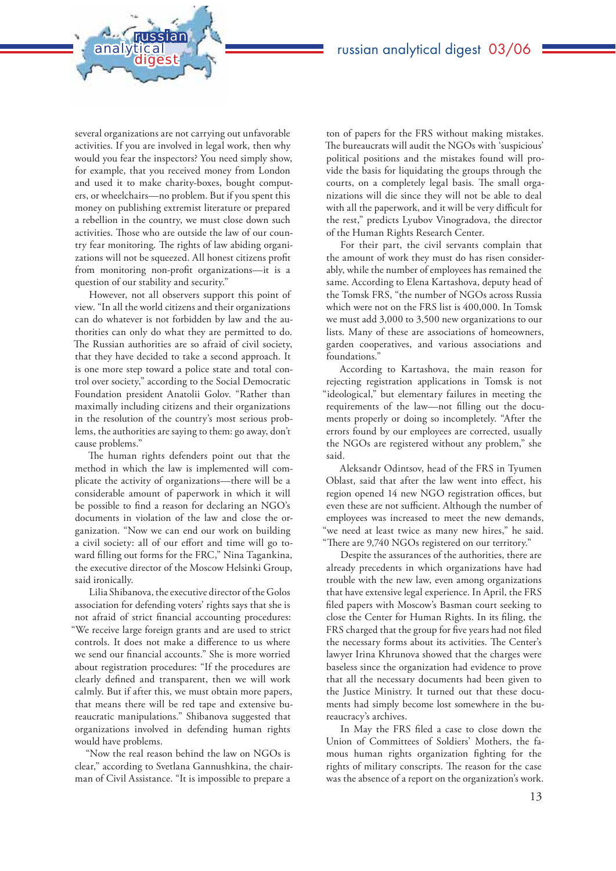several organizations are not carrying out unfavorable activities. If you are involved in legal work, then why would you fear the inspectors? You need simply show, for example, that you received money from London and used it to make charity-boxes, bought computers, or wheelchairs—no problem. But if you spent this money on publishing extremist literature or prepared a rebellion in the country, we must close down such activities. Those who are outside the law of our country fear monitoring. The rights of law abiding organizations will not be squeezed. All honest citizens profit from monitoring non-profit organizations---it is a question of our stability and security."

analytical<br>digest

russian

However, not all observers support this point of view. "In all the world citizens and their organizations can do whatever is not forbidden by law and the authorities can only do what they are permitted to do. The Russian authorities are so afraid of civil society, that they have decided to take a second approach. It is one more step toward a police state and total control over society," according to the Social Democratic Foundation president Anatolii Golov. "Rather than maximally including citizens and their organizations in the resolution of the country's most serious problems, the authorities are saying to them: go away, don't cause problems."

The human rights defenders point out that the method in which the law is implemented will complicate the activity of organizations—there will be a considerable amount of paperwork in which it will be possible to find a reason for declaring an NGO's documents in violation of the law and close the organization. "Now we can end our work on building a civil society: all of our effort and time will go toward filling out forms for the FRC," Nina Tagankina, the executive director of the Moscow Helsinki Group, said ironically.

Lilia Shibanova, the executive director of the Golos association for defending voters' rights says that she is not afraid of strict financial accounting procedures: "We receive large foreign grants and are used to strict controls. It does not make a difference to us where we send our financial accounts." She is more worried about registration procedures: "If the procedures are clearly defined and transparent, then we will work calmly. But if after this, we must obtain more papers, that means there will be red tape and extensive bureaucratic manipulations." Shibanova suggested that organizations involved in defending human rights would have problems.

"Now the real reason behind the law on NGOs is clear," according to Svetlana Gannushkina, the chairman of Civil Assistance. "It is impossible to prepare a

ton of papers for the FRS without making mistakes. The bureaucrats will audit the NGOs with 'suspicious' political positions and the mistakes found will provide the basis for liquidating the groups through the courts, on a completely legal basis. The small organizations will die since they will not be able to deal with all the paperwork, and it will be very difficult for the rest," predicts Lyubov Vinogradova, the director of the Human Rights Research Center.

For their part, the civil servants complain that the amount of work they must do has risen considerably, while the number of employees has remained the same. According to Elena Kartashova, deputy head of the Tomsk FRS, "the number of NGOs across Russia which were not on the FRS list is 400,000. In Tomsk we must add 3,000 to 3,500 new organizations to our lists. Many of these are associations of homeowners, garden cooperatives, and various associations and foundations."

According to Kartashova, the main reason for rejecting registration applications in Tomsk is not "ideological," but elementary failures in meeting the requirements of the law—not filling out the documents properly or doing so incompletely. "After the errors found by our employees are corrected, usually the NGOs are registered without any problem," she said.

Aleksandr Odintsov, head of the FRS in Tyumen Oblast, said that after the law went into effect, his region opened 14 new NGO registration offices, but even these are not sufficient. Although the number of employees was increased to meet the new demands, "we need at least twice as many new hires," he said. "There are 9,740 NGOs registered on our territory."

Despite the assurances of the authorities, there are already precedents in which organizations have had trouble with the new law, even among organizations that have extensive legal experience. In April, the FRS filed papers with Moscow's Basman court seeking to close the Center for Human Rights. In its filing, the FRS charged that the group for five years had not filed the necessary forms about its activities. The Center's lawyer Irina Khrunova showed that the charges were baseless since the organization had evidence to prove that all the necessary documents had been given to the Justice Ministry. It turned out that these documents had simply become lost somewhere in the bureaucracy's archives.

In May the FRS filed a case to close down the Union of Committees of Soldiers' Mothers, the famous human rights organization fighting for the rights of military conscripts. The reason for the case was the absence of a report on the organization's work.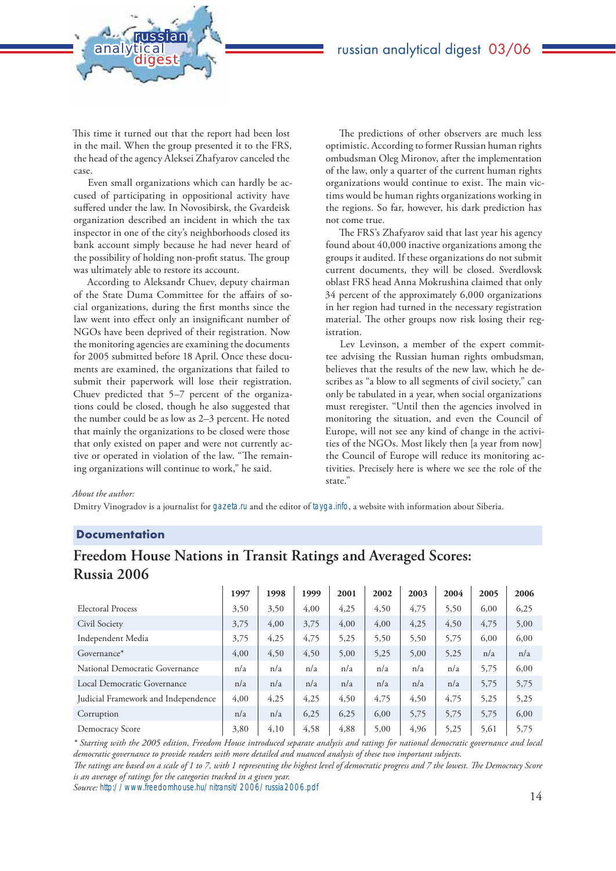This time it turned out that the report had been lost in the mail. When the group presented it to the FRS, the head of the agency Aleksei Zhafyarov canceled the case.

analytical<br>digest

russian

Even small organizations which can hardly be accused of participating in oppositional activity have suffered under the law. In Novosibirsk, the Gvardeisk organization described an incident in which the tax inspector in one of the city's neighborhoods closed its bank account simply because he had never heard of the possibility of holding non-profit status. The group was ultimately able to restore its account.

According to Aleksandr Chuev, deputy chairman of the State Duma Committee for the affairs of social organizations, during the first months since the law went into effect only an insignificant number of NGOs have been deprived of their registration. Now the monitoring agencies are examining the documents for 2005 submitted before 18 April. Once these documents are examined, the organizations that failed to submit their paperwork will lose their registration. Chuev predicted that 5–7 percent of the organizations could be closed, though he also suggested that the number could be as low as 2–3 percent. He noted that mainly the organizations to be closed were those that only existed on paper and were not currently active or operated in violation of the law. "The remaining organizations will continue to work," he said.

The predictions of other observers are much less optimistic. According to former Russian human rights ombudsman Oleg Mironov, after the implementation of the law, only a quarter of the current human rights organizations would continue to exist. The main victims would be human rights organizations working in the regions. So far, however, his dark prediction has not come true.

The FRS's Zhafyarov said that last year his agency found about 40,000 inactive organizations among the groups it audited. If these organizations do not submit current documents, they will be closed. Sverdlovsk oblast FRS head Anna Mokrushina claimed that only 34 percent of the approximately 6,000 organizations in her region had turned in the necessary registration material. The other groups now risk losing their registration.

Lev Levinson, a member of the expert committee advising the Russian human rights ombudsman, believes that the results of the new law, which he describes as "a blow to all segments of civil society," can only be tabulated in a year, when social organizations must reregister. "Until then the agencies involved in monitoring the situation, and even the Council of Europe, will not see any kind of change in the activities of the NGOs. Most likely then [a year from now] the Council of Europe will reduce its monitoring activities. Precisely here is where we see the role of the state."

#### *About the author:*

Dmitry Vinogradov is a journalist for gazeta.ru and the editor of tayga.info, a website with information about Siberia.

### **Documentation**

# **Freedom House Nations in Transit Ratings and Averaged Scores: Russia 2006**

|                                     | 1997 | 1998 | 1999 | 2001 | 2002 | 2003 | 2004 | 2005 | 2006 |
|-------------------------------------|------|------|------|------|------|------|------|------|------|
| Electoral Process                   | 3,50 | 3,50 | 4,00 | 4,25 | 4,50 | 4,75 | 5,50 | 6.00 | 6,25 |
| Civil Society                       | 3,75 | 4,00 | 3,75 | 4,00 | 4,00 | 4,25 | 4,50 | 4,75 | 5,00 |
| Independent Media                   | 3,75 | 4,25 | 4,75 | 5,25 | 5,50 | 5,50 | 5,75 | 6,00 | 6,00 |
| Governance*                         | 4,00 | 4,50 | 4,50 | 5,00 | 5,25 | 5,00 | 5,25 | n/a  | n/a  |
| National Democratic Governance      | n/a  | n/a  | n/a  | n/a  | n/a  | n/a  | n/a  | 5,75 | 6,00 |
| Local Democratic Governance         | n/a  | n/a  | n/a  | n/a  | n/a  | n/a  | n/a  | 5,75 | 5,75 |
| Judicial Framework and Independence | 4,00 | 4,25 | 4,25 | 4,50 | 4,75 | 4,50 | 4,75 | 5,25 | 5,25 |
| Corruption                          | n/a  | n/a  | 6,25 | 6,25 | 6,00 | 5,75 | 5,75 | 5,75 | 6,00 |
| Democracy Score                     | 3,80 | 4.10 | 4,58 | 4.88 | 5,00 | 4,96 | 5,25 | 5,61 | 5,75 |

*\* Starting with the 2005 edition, Freedom House introduced separate analysis and ratings for national democratic governance and local democratic governance to provide readers with more detailed and nuanced analysis of these two important subjects.*

The ratings are based on a scale of 1 to 7, with 1 representing the highest level of democratic progress and 7 the lowest. The Democracy Score *is an average of ratings for the categories tracked in a given year.*

*Source:* http://www.freedomhouse.hu/nitransit/2006/russia2006.pdf